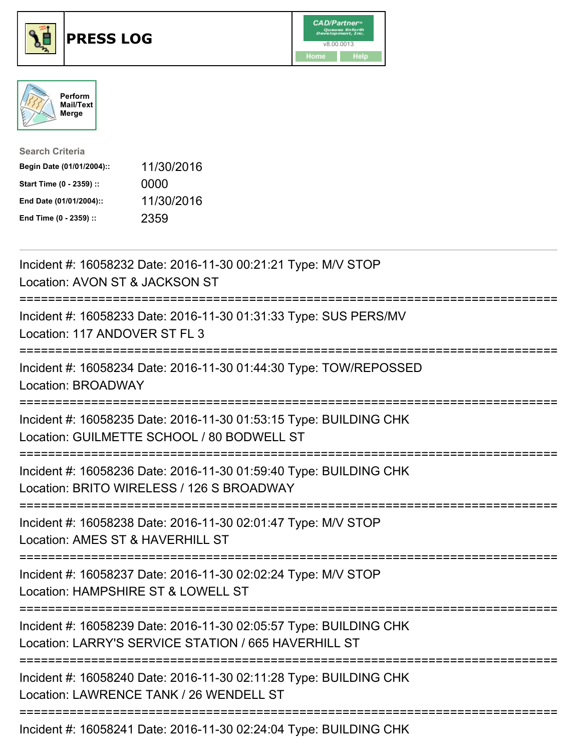





| <b>Search Criteria</b>    |            |
|---------------------------|------------|
| Begin Date (01/01/2004):: | 11/30/2016 |
| Start Time (0 - 2359) ::  | 0000       |
| End Date (01/01/2004)::   | 11/30/2016 |
| End Time (0 - 2359) ::    | 2359       |

| Incident #: 16058232 Date: 2016-11-30 00:21:21 Type: M/V STOP<br>Location: AVON ST & JACKSON ST<br>--------                                 |
|---------------------------------------------------------------------------------------------------------------------------------------------|
| Incident #: 16058233 Date: 2016-11-30 01:31:33 Type: SUS PERS/MV<br>Location: 117 ANDOVER ST FL 3<br>===========                            |
| Incident #: 16058234 Date: 2016-11-30 01:44:30 Type: TOW/REPOSSED<br>Location: BROADWAY                                                     |
| Incident #: 16058235 Date: 2016-11-30 01:53:15 Type: BUILDING CHK<br>Location: GUILMETTE SCHOOL / 80 BODWELL ST                             |
| Incident #: 16058236 Date: 2016-11-30 01:59:40 Type: BUILDING CHK<br>Location: BRITO WIRELESS / 126 S BROADWAY<br>========================= |
| Incident #: 16058238 Date: 2016-11-30 02:01:47 Type: M/V STOP<br>Location: AMES ST & HAVERHILL ST<br>==========================             |
| Incident #: 16058237 Date: 2016-11-30 02:02:24 Type: M/V STOP<br>Location: HAMPSHIRE ST & LOWELL ST<br>:===============================     |
| Incident #: 16058239 Date: 2016-11-30 02:05:57 Type: BUILDING CHK<br>Location: LARRY'S SERVICE STATION / 665 HAVERHILL ST                   |
| Incident #: 16058240 Date: 2016-11-30 02:11:28 Type: BUILDING CHK<br>Location: LAWRENCE TANK / 26 WENDELL ST                                |
| Incident #: 16058241 Date: 2016-11-30 02:24:04 Type: BUILDING CHK                                                                           |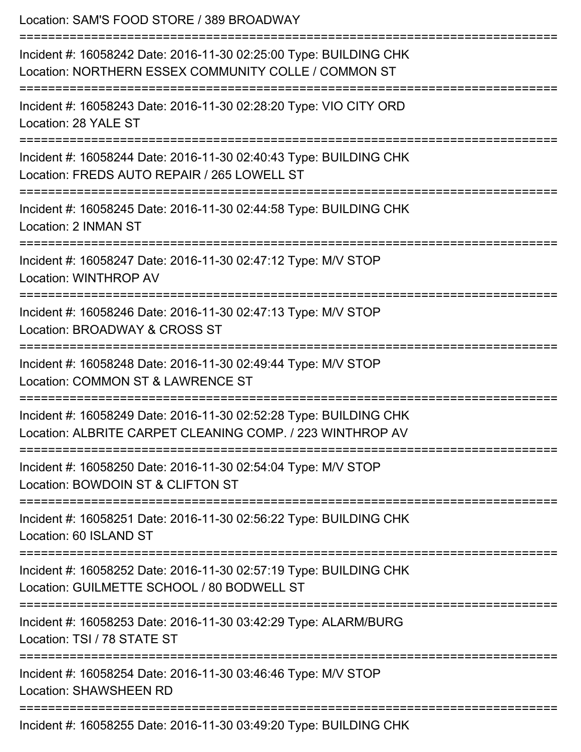Location: SAM'S FOOD STORE / 389 BROADWAY =========================================================================== Incident #: 16058242 Date: 2016-11-30 02:25:00 Type: BUILDING CHK Location: NORTHERN ESSEX COMMUNITY COLLE / COMMON ST =========================================================================== Incident #: 16058243 Date: 2016-11-30 02:28:20 Type: VIO CITY ORD Location: 28 YALE ST =========================================================================== Incident #: 16058244 Date: 2016-11-30 02:40:43 Type: BUILDING CHK Location: FREDS AUTO REPAIR / 265 LOWELL ST =========================================================================== Incident #: 16058245 Date: 2016-11-30 02:44:58 Type: BUILDING CHK Location: 2 INMAN ST =========================================================================== Incident #: 16058247 Date: 2016-11-30 02:47:12 Type: M/V STOP Location: WINTHROP AV =========================================================================== Incident #: 16058246 Date: 2016-11-30 02:47:13 Type: M/V STOP Location: BROADWAY & CROSS ST =========================================================================== Incident #: 16058248 Date: 2016-11-30 02:49:44 Type: M/V STOP Location: COMMON ST & LAWRENCE ST =========================================================================== Incident #: 16058249 Date: 2016-11-30 02:52:28 Type: BUILDING CHK Location: ALBRITE CARPET CLEANING COMP. / 223 WINTHROP AV =========================================================================== Incident #: 16058250 Date: 2016-11-30 02:54:04 Type: M/V STOP Location: BOWDOIN ST & CLIFTON ST =========================================================================== Incident #: 16058251 Date: 2016-11-30 02:56:22 Type: BUILDING CHK Location: 60 ISLAND ST =========================================================================== Incident #: 16058252 Date: 2016-11-30 02:57:19 Type: BUILDING CHK Location: GUILMETTE SCHOOL / 80 BODWELL ST =========================================================================== Incident #: 16058253 Date: 2016-11-30 03:42:29 Type: ALARM/BURG Location: TSI / 78 STATE ST =========================================================================== Incident #: 16058254 Date: 2016-11-30 03:46:46 Type: M/V STOP Location: SHAWSHEEN RD =========================================================================== Incident #: 16058255 Date: 2016-11-30 03:49:20 Type: BUILDING CHK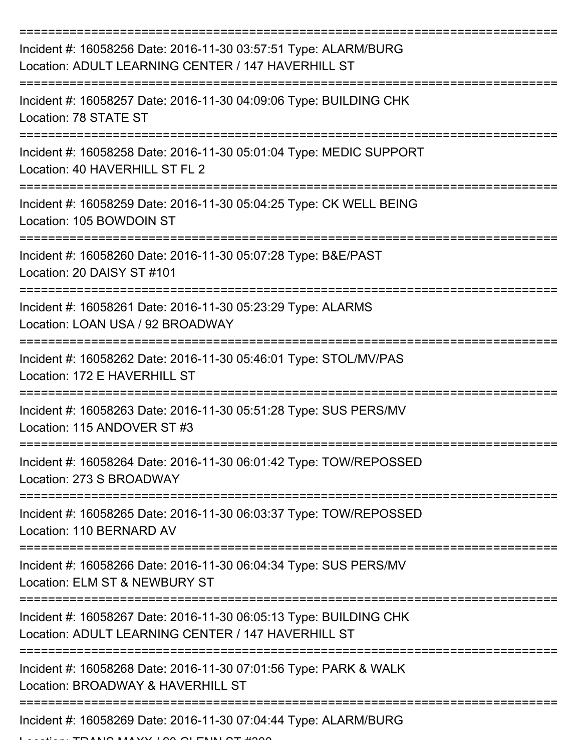| Incident #: 16058256 Date: 2016-11-30 03:57:51 Type: ALARM/BURG<br>Location: ADULT LEARNING CENTER / 147 HAVERHILL ST   |
|-------------------------------------------------------------------------------------------------------------------------|
| Incident #: 16058257 Date: 2016-11-30 04:09:06 Type: BUILDING CHK<br>Location: 78 STATE ST                              |
| Incident #: 16058258 Date: 2016-11-30 05:01:04 Type: MEDIC SUPPORT<br>Location: 40 HAVERHILL ST FL 2                    |
| Incident #: 16058259 Date: 2016-11-30 05:04:25 Type: CK WELL BEING<br>Location: 105 BOWDOIN ST                          |
| Incident #: 16058260 Date: 2016-11-30 05:07:28 Type: B&E/PAST<br>Location: 20 DAISY ST #101                             |
| Incident #: 16058261 Date: 2016-11-30 05:23:29 Type: ALARMS<br>Location: LOAN USA / 92 BROADWAY                         |
| Incident #: 16058262 Date: 2016-11-30 05:46:01 Type: STOL/MV/PAS<br>Location: 172 E HAVERHILL ST                        |
| Incident #: 16058263 Date: 2016-11-30 05:51:28 Type: SUS PERS/MV<br>Location: 115 ANDOVER ST #3                         |
| Incident #: 16058264 Date: 2016-11-30 06:01:42 Type: TOW/REPOSSED<br>Location: 273 S BROADWAY                           |
| Incident #: 16058265 Date: 2016-11-30 06:03:37 Type: TOW/REPOSSED<br>Location: 110 BERNARD AV                           |
| Incident #: 16058266 Date: 2016-11-30 06:04:34 Type: SUS PERS/MV<br>Location: ELM ST & NEWBURY ST                       |
| Incident #: 16058267 Date: 2016-11-30 06:05:13 Type: BUILDING CHK<br>Location: ADULT LEARNING CENTER / 147 HAVERHILL ST |
| Incident #: 16058268 Date: 2016-11-30 07:01:56 Type: PARK & WALK<br>Location: BROADWAY & HAVERHILL ST                   |
| Incident #: 16058269 Date: 2016-11-30 07:04:44 Type: ALARM/BURG                                                         |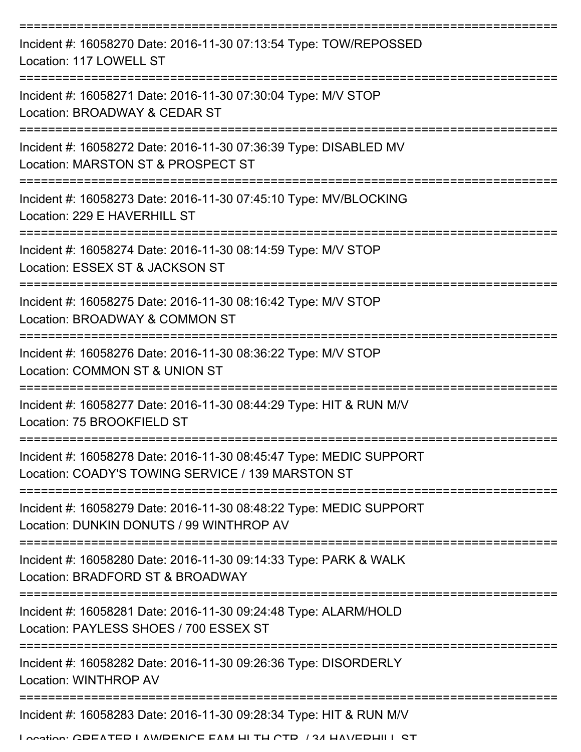| Incident #: 16058270 Date: 2016-11-30 07:13:54 Type: TOW/REPOSSED<br>Location: 117 LOWELL ST<br>Incident #: 16058271 Date: 2016-11-30 07:30:04 Type: M/V STOP<br>Location: BROADWAY & CEDAR ST<br>Incident #: 16058272 Date: 2016-11-30 07:36:39 Type: DISABLED MV<br>Location: MARSTON ST & PROSPECT ST<br>Incident #: 16058273 Date: 2016-11-30 07:45:10 Type: MV/BLOCKING<br>Location: 229 E HAVERHILL ST<br>Incident #: 16058274 Date: 2016-11-30 08:14:59 Type: M/V STOP<br>Location: ESSEX ST & JACKSON ST<br>Incident #: 16058275 Date: 2016-11-30 08:16:42 Type: M/V STOP<br>Location: BROADWAY & COMMON ST<br>Incident #: 16058276 Date: 2016-11-30 08:36:22 Type: M/V STOP<br>Location: COMMON ST & UNION ST<br>Incident #: 16058277 Date: 2016-11-30 08:44:29 Type: HIT & RUN M/V<br>Location: 75 BROOKFIELD ST<br>Incident #: 16058278 Date: 2016-11-30 08:45:47 Type: MEDIC SUPPORT<br>Location: COADY'S TOWING SERVICE / 139 MARSTON ST<br>Incident #: 16058279 Date: 2016-11-30 08:48:22 Type: MEDIC SUPPORT<br>Location: DUNKIN DONUTS / 99 WINTHROP AV<br>Incident #: 16058280 Date: 2016-11-30 09:14:33 Type: PARK & WALK<br>Location: BRADFORD ST & BROADWAY<br>Incident #: 16058281 Date: 2016-11-30 09:24:48 Type: ALARM/HOLD<br>Location: PAYLESS SHOES / 700 ESSEX ST |
|----------------------------------------------------------------------------------------------------------------------------------------------------------------------------------------------------------------------------------------------------------------------------------------------------------------------------------------------------------------------------------------------------------------------------------------------------------------------------------------------------------------------------------------------------------------------------------------------------------------------------------------------------------------------------------------------------------------------------------------------------------------------------------------------------------------------------------------------------------------------------------------------------------------------------------------------------------------------------------------------------------------------------------------------------------------------------------------------------------------------------------------------------------------------------------------------------------------------------------------------------------------------------------------------|
|                                                                                                                                                                                                                                                                                                                                                                                                                                                                                                                                                                                                                                                                                                                                                                                                                                                                                                                                                                                                                                                                                                                                                                                                                                                                                              |
|                                                                                                                                                                                                                                                                                                                                                                                                                                                                                                                                                                                                                                                                                                                                                                                                                                                                                                                                                                                                                                                                                                                                                                                                                                                                                              |
|                                                                                                                                                                                                                                                                                                                                                                                                                                                                                                                                                                                                                                                                                                                                                                                                                                                                                                                                                                                                                                                                                                                                                                                                                                                                                              |
|                                                                                                                                                                                                                                                                                                                                                                                                                                                                                                                                                                                                                                                                                                                                                                                                                                                                                                                                                                                                                                                                                                                                                                                                                                                                                              |
|                                                                                                                                                                                                                                                                                                                                                                                                                                                                                                                                                                                                                                                                                                                                                                                                                                                                                                                                                                                                                                                                                                                                                                                                                                                                                              |
|                                                                                                                                                                                                                                                                                                                                                                                                                                                                                                                                                                                                                                                                                                                                                                                                                                                                                                                                                                                                                                                                                                                                                                                                                                                                                              |
|                                                                                                                                                                                                                                                                                                                                                                                                                                                                                                                                                                                                                                                                                                                                                                                                                                                                                                                                                                                                                                                                                                                                                                                                                                                                                              |
|                                                                                                                                                                                                                                                                                                                                                                                                                                                                                                                                                                                                                                                                                                                                                                                                                                                                                                                                                                                                                                                                                                                                                                                                                                                                                              |
|                                                                                                                                                                                                                                                                                                                                                                                                                                                                                                                                                                                                                                                                                                                                                                                                                                                                                                                                                                                                                                                                                                                                                                                                                                                                                              |
|                                                                                                                                                                                                                                                                                                                                                                                                                                                                                                                                                                                                                                                                                                                                                                                                                                                                                                                                                                                                                                                                                                                                                                                                                                                                                              |
|                                                                                                                                                                                                                                                                                                                                                                                                                                                                                                                                                                                                                                                                                                                                                                                                                                                                                                                                                                                                                                                                                                                                                                                                                                                                                              |
|                                                                                                                                                                                                                                                                                                                                                                                                                                                                                                                                                                                                                                                                                                                                                                                                                                                                                                                                                                                                                                                                                                                                                                                                                                                                                              |
| Incident #: 16058282 Date: 2016-11-30 09:26:36 Type: DISORDERLY<br>Location: WINTHROP AV                                                                                                                                                                                                                                                                                                                                                                                                                                                                                                                                                                                                                                                                                                                                                                                                                                                                                                                                                                                                                                                                                                                                                                                                     |
| Incident #: 16058283 Date: 2016-11-30 09:28:34 Type: HIT & RUN M/V<br>I occión: CDEATED I AMDENICE EAM LI TH CTD / 24 HAV/EDHII I CT                                                                                                                                                                                                                                                                                                                                                                                                                                                                                                                                                                                                                                                                                                                                                                                                                                                                                                                                                                                                                                                                                                                                                         |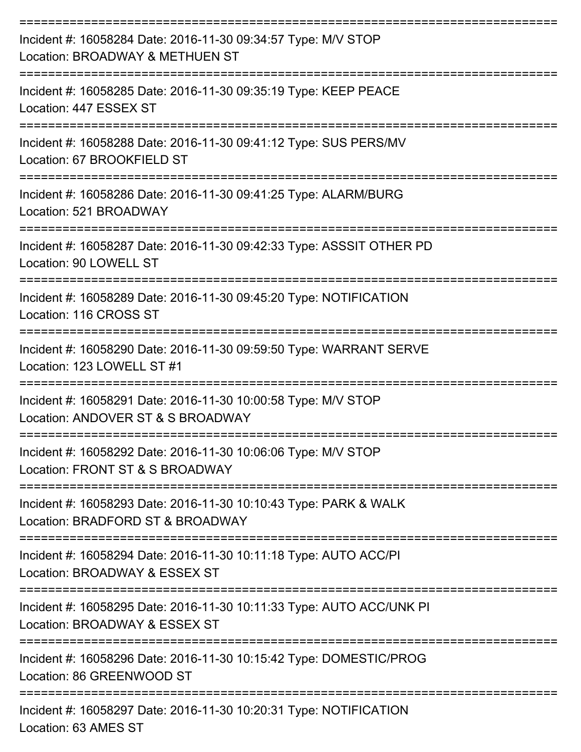| Incident #: 16058284 Date: 2016-11-30 09:34:57 Type: M/V STOP<br>Location: BROADWAY & METHUEN ST                  |
|-------------------------------------------------------------------------------------------------------------------|
| Incident #: 16058285 Date: 2016-11-30 09:35:19 Type: KEEP PEACE<br>Location: 447 ESSEX ST                         |
| Incident #: 16058288 Date: 2016-11-30 09:41:12 Type: SUS PERS/MV<br>Location: 67 BROOKFIELD ST                    |
| Incident #: 16058286 Date: 2016-11-30 09:41:25 Type: ALARM/BURG<br>Location: 521 BROADWAY                         |
| Incident #: 16058287 Date: 2016-11-30 09:42:33 Type: ASSSIT OTHER PD<br>Location: 90 LOWELL ST                    |
| Incident #: 16058289 Date: 2016-11-30 09:45:20 Type: NOTIFICATION<br>Location: 116 CROSS ST<br>------------------ |
| Incident #: 16058290 Date: 2016-11-30 09:59:50 Type: WARRANT SERVE<br>Location: 123 LOWELL ST #1                  |
| Incident #: 16058291 Date: 2016-11-30 10:00:58 Type: M/V STOP<br>Location: ANDOVER ST & S BROADWAY                |
| Incident #: 16058292 Date: 2016-11-30 10:06:06 Type: M/V STOP<br>Location: FRONT ST & S BROADWAY                  |
| Incident #: 16058293 Date: 2016-11-30 10:10:43 Type: PARK & WALK<br>Location: BRADFORD ST & BROADWAY              |
| Incident #: 16058294 Date: 2016-11-30 10:11:18 Type: AUTO ACC/PI<br>Location: BROADWAY & ESSEX ST                 |
| Incident #: 16058295 Date: 2016-11-30 10:11:33 Type: AUTO ACC/UNK PI<br>Location: BROADWAY & ESSEX ST             |
| Incident #: 16058296 Date: 2016-11-30 10:15:42 Type: DOMESTIC/PROG<br>Location: 86 GREENWOOD ST                   |
| Incident #: 16058297 Date: 2016-11-30 10:20:31 Type: NOTIFICATION                                                 |

Location: 63 AMES ST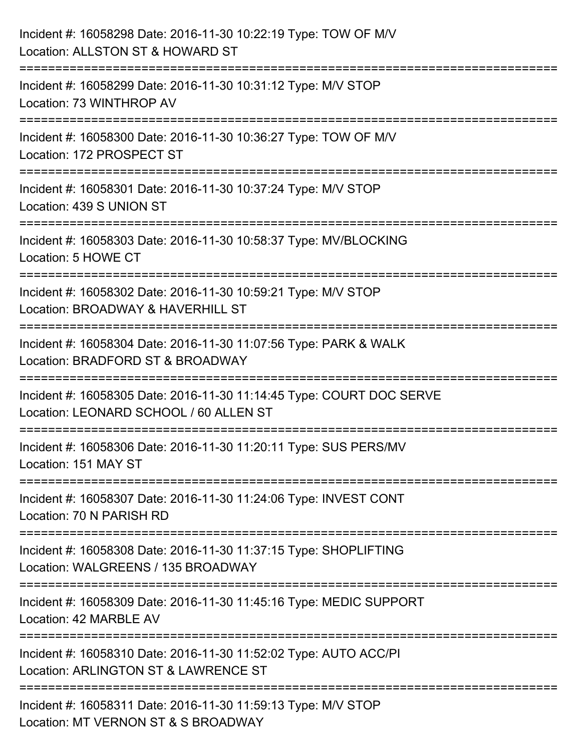| Incident #: 16058298 Date: 2016-11-30 10:22:19 Type: TOW OF M/V<br>Location: ALLSTON ST & HOWARD ST            |
|----------------------------------------------------------------------------------------------------------------|
| Incident #: 16058299 Date: 2016-11-30 10:31:12 Type: M/V STOP<br>Location: 73 WINTHROP AV                      |
| Incident #: 16058300 Date: 2016-11-30 10:36:27 Type: TOW OF M/V<br>Location: 172 PROSPECT ST                   |
| Incident #: 16058301 Date: 2016-11-30 10:37:24 Type: M/V STOP<br>Location: 439 S UNION ST                      |
| Incident #: 16058303 Date: 2016-11-30 10:58:37 Type: MV/BLOCKING<br>Location: 5 HOWE CT                        |
| Incident #: 16058302 Date: 2016-11-30 10:59:21 Type: M/V STOP<br>Location: BROADWAY & HAVERHILL ST             |
| Incident #: 16058304 Date: 2016-11-30 11:07:56 Type: PARK & WALK<br>Location: BRADFORD ST & BROADWAY           |
| Incident #: 16058305 Date: 2016-11-30 11:14:45 Type: COURT DOC SERVE<br>Location: LEONARD SCHOOL / 60 ALLEN ST |
| Incident #: 16058306 Date: 2016-11-30 11:20:11 Type: SUS PERS/MV<br>Location: 151 MAY ST                       |
| Incident #: 16058307 Date: 2016-11-30 11:24:06 Type: INVEST CONT<br>Location: 70 N PARISH RD                   |
| Incident #: 16058308 Date: 2016-11-30 11:37:15 Type: SHOPLIFTING<br>Location: WALGREENS / 135 BROADWAY         |
| Incident #: 16058309 Date: 2016-11-30 11:45:16 Type: MEDIC SUPPORT<br>Location: 42 MARBLE AV                   |
| Incident #: 16058310 Date: 2016-11-30 11:52:02 Type: AUTO ACC/PI<br>Location: ARLINGTON ST & LAWRENCE ST       |
| Incident #: 16058311 Date: 2016-11-30 11:59:13 Type: M/V STOP<br>Location: MT VERNON ST & S BROADWAY           |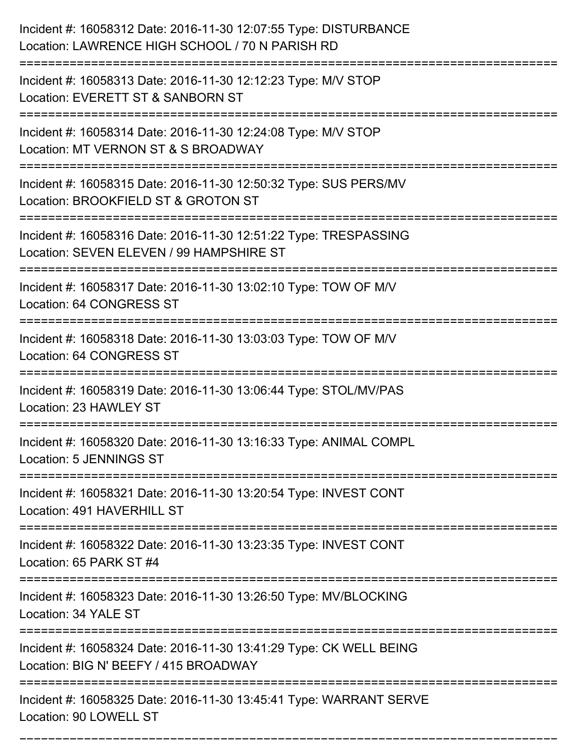| Incident #: 16058312 Date: 2016-11-30 12:07:55 Type: DISTURBANCE<br>Location: LAWRENCE HIGH SCHOOL / 70 N PARISH RD                                        |
|------------------------------------------------------------------------------------------------------------------------------------------------------------|
| Incident #: 16058313 Date: 2016-11-30 12:12:23 Type: M/V STOP<br>Location: EVERETT ST & SANBORN ST                                                         |
| Incident #: 16058314 Date: 2016-11-30 12:24:08 Type: M/V STOP<br>Location: MT VERNON ST & S BROADWAY                                                       |
| Incident #: 16058315 Date: 2016-11-30 12:50:32 Type: SUS PERS/MV<br>Location: BROOKFIELD ST & GROTON ST                                                    |
| Incident #: 16058316 Date: 2016-11-30 12:51:22 Type: TRESPASSING<br>Location: SEVEN ELEVEN / 99 HAMPSHIRE ST                                               |
| Incident #: 16058317 Date: 2016-11-30 13:02:10 Type: TOW OF M/V<br>Location: 64 CONGRESS ST                                                                |
| Incident #: 16058318 Date: 2016-11-30 13:03:03 Type: TOW OF M/V<br>Location: 64 CONGRESS ST                                                                |
| Incident #: 16058319 Date: 2016-11-30 13:06:44 Type: STOL/MV/PAS<br>Location: 23 HAWLEY ST                                                                 |
| Incident #: 16058320 Date: 2016-11-30 13:16:33 Type: ANIMAL COMPL<br>Location: 5 JENNINGS ST                                                               |
| Incident #: 16058321 Date: 2016-11-30 13:20:54 Type: INVEST CONT<br>Location: 491 HAVERHILL ST                                                             |
| Incident #: 16058322 Date: 2016-11-30 13:23:35 Type: INVEST CONT<br>Location: 65 PARK ST #4                                                                |
| Incident #: 16058323 Date: 2016-11-30 13:26:50 Type: MV/BLOCKING<br>Location: 34 YALE ST<br>=================================<br>------------------------- |
| Incident #: 16058324 Date: 2016-11-30 13:41:29 Type: CK WELL BEING<br>Location: BIG N' BEEFY / 415 BROADWAY                                                |
| Incident #: 16058325 Date: 2016-11-30 13:45:41 Type: WARRANT SERVE<br>Location: 90 LOWELL ST                                                               |

===========================================================================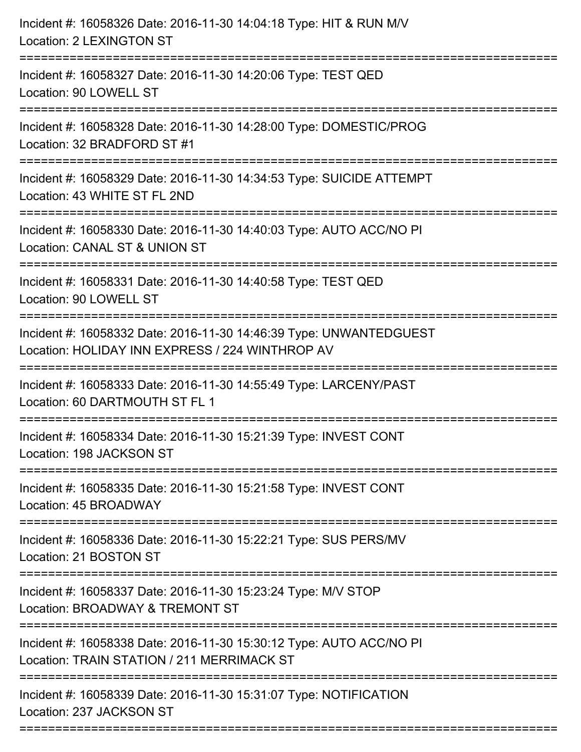| Incident #: 16058326 Date: 2016-11-30 14:04:18 Type: HIT & RUN M/V<br><b>Location: 2 LEXINGTON ST</b>                                                              |
|--------------------------------------------------------------------------------------------------------------------------------------------------------------------|
| Incident #: 16058327 Date: 2016-11-30 14:20:06 Type: TEST QED<br>Location: 90 LOWELL ST                                                                            |
| Incident #: 16058328 Date: 2016-11-30 14:28:00 Type: DOMESTIC/PROG<br>Location: 32 BRADFORD ST #1                                                                  |
| Incident #: 16058329 Date: 2016-11-30 14:34:53 Type: SUICIDE ATTEMPT<br>Location: 43 WHITE ST FL 2ND                                                               |
| Incident #: 16058330 Date: 2016-11-30 14:40:03 Type: AUTO ACC/NO PI<br>Location: CANAL ST & UNION ST<br>===================================<br>=================== |
| Incident #: 16058331 Date: 2016-11-30 14:40:58 Type: TEST QED<br>Location: 90 LOWELL ST                                                                            |
| Incident #: 16058332 Date: 2016-11-30 14:46:39 Type: UNWANTEDGUEST<br>Location: HOLIDAY INN EXPRESS / 224 WINTHROP AV<br>=================                         |
| Incident #: 16058333 Date: 2016-11-30 14:55:49 Type: LARCENY/PAST<br>Location: 60 DARTMOUTH ST FL 1                                                                |
| Incident #: 16058334 Date: 2016-11-30 15:21:39 Type: INVEST CONT<br>Location: 198 JACKSON ST                                                                       |
| Incident #: 16058335 Date: 2016-11-30 15:21:58 Type: INVEST CONT<br>Location: 45 BROADWAY                                                                          |
| Incident #: 16058336 Date: 2016-11-30 15:22:21 Type: SUS PERS/MV<br>Location: 21 BOSTON ST                                                                         |
| Incident #: 16058337 Date: 2016-11-30 15:23:24 Type: M/V STOP<br>Location: BROADWAY & TREMONT ST                                                                   |
| Incident #: 16058338 Date: 2016-11-30 15:30:12 Type: AUTO ACC/NO PI<br>Location: TRAIN STATION / 211 MERRIMACK ST                                                  |
| Incident #: 16058339 Date: 2016-11-30 15:31:07 Type: NOTIFICATION<br>Location: 237 JACKSON ST                                                                      |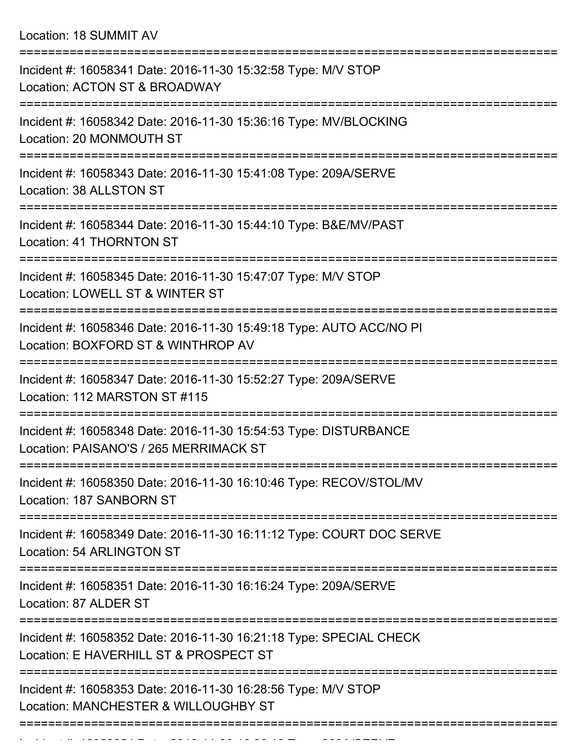Location: 18 SUMMIT AV

| Incident #: 16058341 Date: 2016-11-30 15:32:58 Type: M/V STOP<br>Location: ACTON ST & BROADWAY                         |
|------------------------------------------------------------------------------------------------------------------------|
| Incident #: 16058342 Date: 2016-11-30 15:36:16 Type: MV/BLOCKING<br>Location: 20 MONMOUTH ST                           |
| Incident #: 16058343 Date: 2016-11-30 15:41:08 Type: 209A/SERVE<br>Location: 38 ALLSTON ST                             |
| Incident #: 16058344 Date: 2016-11-30 15:44:10 Type: B&E/MV/PAST<br>Location: 41 THORNTON ST                           |
| ==================<br>Incident #: 16058345 Date: 2016-11-30 15:47:07 Type: M/V STOP<br>Location: LOWELL ST & WINTER ST |
| Incident #: 16058346 Date: 2016-11-30 15:49:18 Type: AUTO ACC/NO PI<br>Location: BOXFORD ST & WINTHROP AV              |
| Incident #: 16058347 Date: 2016-11-30 15:52:27 Type: 209A/SERVE<br>Location: 112 MARSTON ST #115                       |
| Incident #: 16058348 Date: 2016-11-30 15:54:53 Type: DISTURBANCE<br>Location: PAISANO'S / 265 MERRIMACK ST             |
| Incident #: 16058350 Date: 2016-11-30 16:10:46 Type: RECOV/STOL/MV<br>Location: 187 SANBORN ST                         |
| Incident #: 16058349 Date: 2016-11-30 16:11:12 Type: COURT DOC SERVE<br>Location: 54 ARLINGTON ST                      |
| Incident #: 16058351 Date: 2016-11-30 16:16:24 Type: 209A/SERVE<br>Location: 87 ALDER ST                               |
| Incident #: 16058352 Date: 2016-11-30 16:21:18 Type: SPECIAL CHECK<br>Location: E HAVERHILL ST & PROSPECT ST           |
| Incident #: 16058353 Date: 2016-11-30 16:28:56 Type: M/V STOP<br>Location: MANCHESTER & WILLOUGHBY ST                  |
|                                                                                                                        |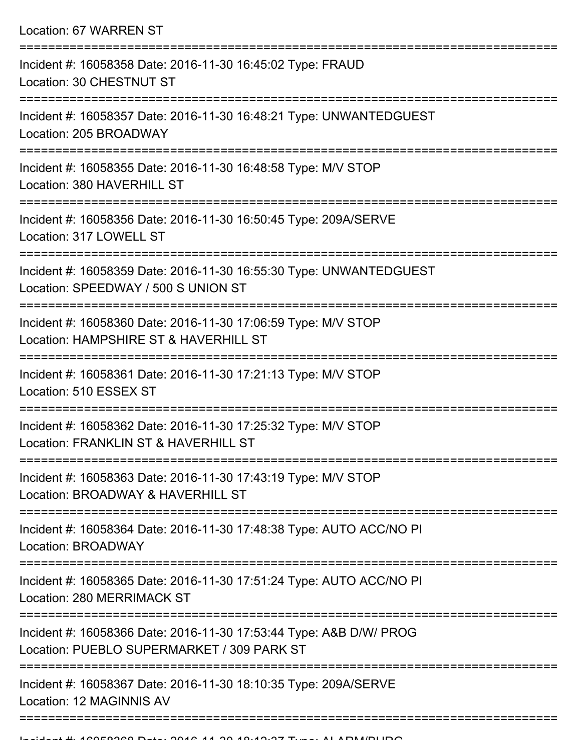| Location: 67 WARREN ST                                                                                                            |
|-----------------------------------------------------------------------------------------------------------------------------------|
| Incident #: 16058358 Date: 2016-11-30 16:45:02 Type: FRAUD<br>Location: 30 CHESTNUT ST                                            |
| Incident #: 16058357 Date: 2016-11-30 16:48:21 Type: UNWANTEDGUEST<br>Location: 205 BROADWAY                                      |
| Incident #: 16058355 Date: 2016-11-30 16:48:58 Type: M/V STOP<br>Location: 380 HAVERHILL ST                                       |
| Incident #: 16058356 Date: 2016-11-30 16:50:45 Type: 209A/SERVE<br>Location: 317 LOWELL ST                                        |
| Incident #: 16058359 Date: 2016-11-30 16:55:30 Type: UNWANTEDGUEST<br>Location: SPEEDWAY / 500 S UNION ST                         |
| Incident #: 16058360 Date: 2016-11-30 17:06:59 Type: M/V STOP<br>Location: HAMPSHIRE ST & HAVERHILL ST<br>======================= |
| Incident #: 16058361 Date: 2016-11-30 17:21:13 Type: M/V STOP<br>Location: 510 ESSEX ST                                           |
| Incident #: 16058362 Date: 2016-11-30 17:25:32 Type: M/V STOP<br>Location: FRANKLIN ST & HAVERHILL ST                             |
| Incident #: 16058363 Date: 2016-11-30 17:43:19 Type: M/V STOP<br>Location: BROADWAY & HAVERHILL ST                                |
| Incident #: 16058364 Date: 2016-11-30 17:48:38 Type: AUTO ACC/NO PI<br>Location: BROADWAY                                         |
| Incident #: 16058365 Date: 2016-11-30 17:51:24 Type: AUTO ACC/NO PI<br>Location: 280 MERRIMACK ST                                 |
| Incident #: 16058366 Date: 2016-11-30 17:53:44 Type: A&B D/W/ PROG<br>Location: PUEBLO SUPERMARKET / 309 PARK ST                  |
| Incident #: 16058367 Date: 2016-11-30 18:10:35 Type: 209A/SERVE<br>Location: 12 MAGINNIS AV                                       |
|                                                                                                                                   |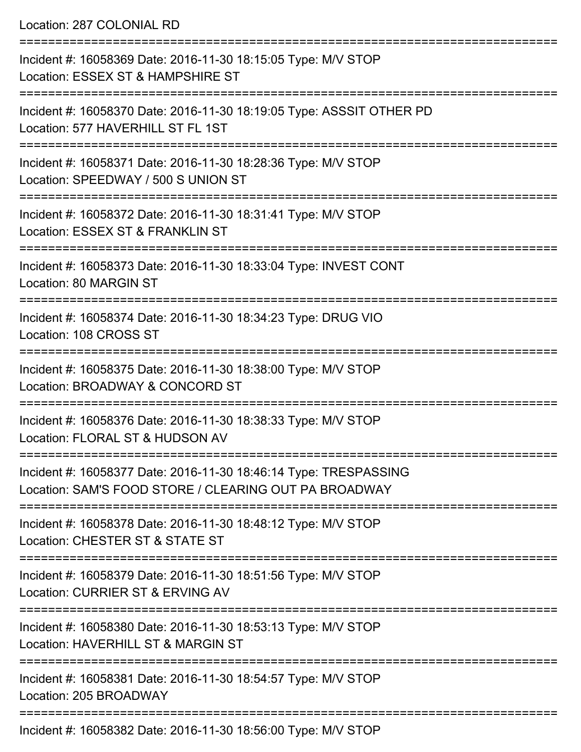Location: 287 COLONIAL RD

| Incident #: 16058369 Date: 2016-11-30 18:15:05 Type: M/V STOP<br>Location: ESSEX ST & HAMPSHIRE ST                        |
|---------------------------------------------------------------------------------------------------------------------------|
| Incident #: 16058370 Date: 2016-11-30 18:19:05 Type: ASSSIT OTHER PD<br>Location: 577 HAVERHILL ST FL 1ST                 |
| Incident #: 16058371 Date: 2016-11-30 18:28:36 Type: M/V STOP<br>Location: SPEEDWAY / 500 S UNION ST                      |
| Incident #: 16058372 Date: 2016-11-30 18:31:41 Type: M/V STOP<br>Location: ESSEX ST & FRANKLIN ST                         |
| Incident #: 16058373 Date: 2016-11-30 18:33:04 Type: INVEST CONT<br>Location: 80 MARGIN ST                                |
| Incident #: 16058374 Date: 2016-11-30 18:34:23 Type: DRUG VIO<br>Location: 108 CROSS ST                                   |
| Incident #: 16058375 Date: 2016-11-30 18:38:00 Type: M/V STOP<br>Location: BROADWAY & CONCORD ST                          |
| Incident #: 16058376 Date: 2016-11-30 18:38:33 Type: M/V STOP<br>Location: FLORAL ST & HUDSON AV                          |
| Incident #: 16058377 Date: 2016-11-30 18:46:14 Type: TRESPASSING<br>Location: SAM'S FOOD STORE / CLEARING OUT PA BROADWAY |
| Incident #: 16058378 Date: 2016-11-30 18:48:12 Type: M/V STOP<br>Location: CHESTER ST & STATE ST                          |
| Incident #: 16058379 Date: 2016-11-30 18:51:56 Type: M/V STOP<br>Location: CURRIER ST & ERVING AV                         |
| Incident #: 16058380 Date: 2016-11-30 18:53:13 Type: M/V STOP<br>Location: HAVERHILL ST & MARGIN ST                       |
| Incident #: 16058381 Date: 2016-11-30 18:54:57 Type: M/V STOP<br>Location: 205 BROADWAY                                   |
| Incident #: 16058382 Date: 2016-11-30 18:56:00 Type: MAI STOP                                                             |

Incident #: 16058382 Date: 2016-11-30 18:56:00 Type: M/V STOP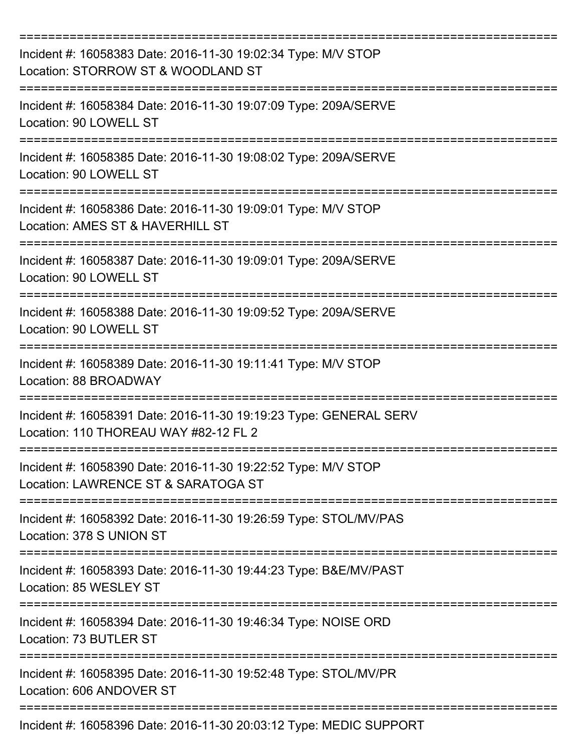| Incident #: 16058383 Date: 2016-11-30 19:02:34 Type: M/V STOP<br>Location: STORROW ST & WOODLAND ST                             |
|---------------------------------------------------------------------------------------------------------------------------------|
| Incident #: 16058384 Date: 2016-11-30 19:07:09 Type: 209A/SERVE<br>Location: 90 LOWELL ST                                       |
| Incident #: 16058385 Date: 2016-11-30 19:08:02 Type: 209A/SERVE<br>Location: 90 LOWELL ST                                       |
| Incident #: 16058386 Date: 2016-11-30 19:09:01 Type: M/V STOP<br>Location: AMES ST & HAVERHILL ST                               |
| Incident #: 16058387 Date: 2016-11-30 19:09:01 Type: 209A/SERVE<br>Location: 90 LOWELL ST<br>================================== |
| Incident #: 16058388 Date: 2016-11-30 19:09:52 Type: 209A/SERVE<br>Location: 90 LOWELL ST                                       |
| Incident #: 16058389 Date: 2016-11-30 19:11:41 Type: M/V STOP<br>Location: 88 BROADWAY<br>=============                         |
| Incident #: 16058391 Date: 2016-11-30 19:19:23 Type: GENERAL SERV<br>Location: 110 THOREAU WAY #82-12 FL 2                      |
| Incident #: 16058390 Date: 2016-11-30 19:22:52 Type: M/V STOP<br>Location: LAWRENCE ST & SARATOGA ST                            |
| Incident #: 16058392 Date: 2016-11-30 19:26:59 Type: STOL/MV/PAS<br>Location: 378 S UNION ST                                    |
| Incident #: 16058393 Date: 2016-11-30 19:44:23 Type: B&E/MV/PAST<br>Location: 85 WESLEY ST                                      |
| Incident #: 16058394 Date: 2016-11-30 19:46:34 Type: NOISE ORD<br>Location: 73 BUTLER ST                                        |
| Incident #: 16058395 Date: 2016-11-30 19:52:48 Type: STOL/MV/PR<br>Location: 606 ANDOVER ST                                     |
| Incident #: 16058396 Date: 2016-11-30 20:03:12 Type: MEDIC SUPPORT                                                              |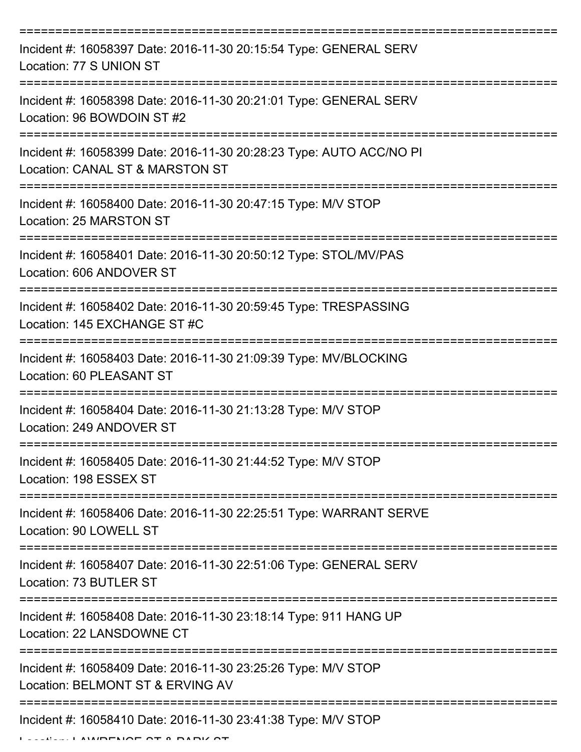| Incident #: 16058397 Date: 2016-11-30 20:15:54 Type: GENERAL SERV<br>Location: 77 S UNION ST                  |
|---------------------------------------------------------------------------------------------------------------|
| Incident #: 16058398 Date: 2016-11-30 20:21:01 Type: GENERAL SERV<br>Location: 96 BOWDOIN ST #2               |
| Incident #: 16058399 Date: 2016-11-30 20:28:23 Type: AUTO ACC/NO PI<br>Location: CANAL ST & MARSTON ST        |
| Incident #: 16058400 Date: 2016-11-30 20:47:15 Type: M/V STOP<br>Location: 25 MARSTON ST                      |
| Incident #: 16058401 Date: 2016-11-30 20:50:12 Type: STOL/MV/PAS<br>Location: 606 ANDOVER ST                  |
| Incident #: 16058402 Date: 2016-11-30 20:59:45 Type: TRESPASSING<br>Location: 145 EXCHANGE ST #C              |
| Incident #: 16058403 Date: 2016-11-30 21:09:39 Type: MV/BLOCKING<br>Location: 60 PLEASANT ST<br>============= |
| Incident #: 16058404 Date: 2016-11-30 21:13:28 Type: M/V STOP<br>Location: 249 ANDOVER ST                     |
| Incident #: 16058405 Date: 2016-11-30 21:44:52 Type: M/V STOP<br>Location: 198 ESSEX ST                       |
| Incident #: 16058406 Date: 2016-11-30 22:25:51 Type: WARRANT SERVE<br>Location: 90 LOWELL ST                  |
| Incident #: 16058407 Date: 2016-11-30 22:51:06 Type: GENERAL SERV<br>Location: 73 BUTLER ST                   |
| Incident #: 16058408 Date: 2016-11-30 23:18:14 Type: 911 HANG UP<br>Location: 22 LANSDOWNE CT                 |
| Incident #: 16058409 Date: 2016-11-30 23:25:26 Type: M/V STOP<br>Location: BELMONT ST & ERVING AV             |
| Incident #: 16058410 Date: 2016-11-30 23:41:38 Type: M/V STOP                                                 |